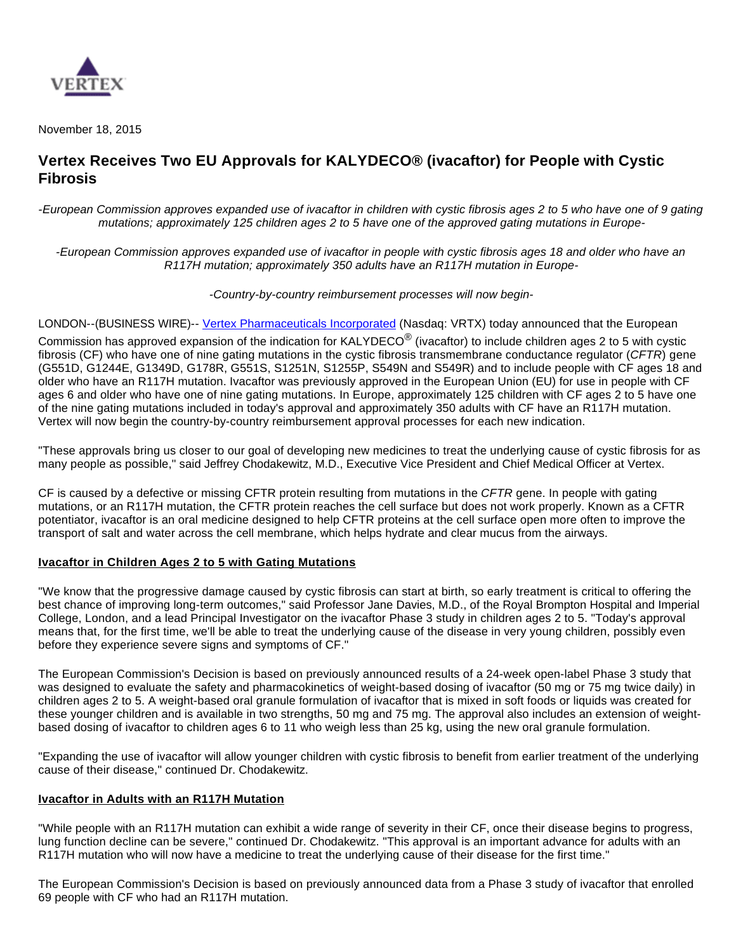

November 18, 2015

# **Vertex Receives Two EU Approvals for KALYDECO® (ivacaftor) for People with Cystic Fibrosis**

-European Commission approves expanded use of ivacaftor in children with cystic fibrosis ages 2 to 5 who have one of 9 gating mutations; approximately 125 children ages 2 to 5 have one of the approved gating mutations in Europe-

-European Commission approves expanded use of ivacaftor in people with cystic fibrosis ages 18 and older who have an R117H mutation; approximately 350 adults have an R117H mutation in Europe-

-Country-by-country reimbursement processes will now begin-

LONDON--(BUSINESS WIRE)-- [Vertex Pharmaceuticals Incorporated](http://cts.businesswire.com/ct/CT?id=smartlink&url=http%3A%2F%2Fwww.vrtx.com&esheet=51227012&newsitemid=20151118005563&lan=en-US&anchor=Vertex+Pharmaceuticals+Incorporated&index=1&md5=e6c1cee7019e41cda3e94358ef849029) (Nasdaq: VRTX) today announced that the European Commission has approved expansion of the indication for KALYDECO<sup>®</sup> (ivacaftor) to include children ages 2 to 5 with cystic fibrosis (CF) who have one of nine gating mutations in the cystic fibrosis transmembrane conductance regulator (CFTR) gene (G551D, G1244E, G1349D, G178R, G551S, S1251N, S1255P, S549N and S549R) and to include people with CF ages 18 and older who have an R117H mutation. Ivacaftor was previously approved in the European Union (EU) for use in people with CF ages 6 and older who have one of nine gating mutations. In Europe, approximately 125 children with CF ages 2 to 5 have one of the nine gating mutations included in today's approval and approximately 350 adults with CF have an R117H mutation. Vertex will now begin the country-by-country reimbursement approval processes for each new indication.

"These approvals bring us closer to our goal of developing new medicines to treat the underlying cause of cystic fibrosis for as many people as possible," said Jeffrey Chodakewitz, M.D., Executive Vice President and Chief Medical Officer at Vertex.

CF is caused by a defective or missing CFTR protein resulting from mutations in the CFTR gene. In people with gating mutations, or an R117H mutation, the CFTR protein reaches the cell surface but does not work properly. Known as a CFTR potentiator, ivacaftor is an oral medicine designed to help CFTR proteins at the cell surface open more often to improve the transport of salt and water across the cell membrane, which helps hydrate and clear mucus from the airways.

# **Ivacaftor in Children Ages 2 to 5 with Gating Mutations**

"We know that the progressive damage caused by cystic fibrosis can start at birth, so early treatment is critical to offering the best chance of improving long-term outcomes," said Professor Jane Davies, M.D., of the Royal Brompton Hospital and Imperial College, London, and a lead Principal Investigator on the ivacaftor Phase 3 study in children ages 2 to 5. "Today's approval means that, for the first time, we'll be able to treat the underlying cause of the disease in very young children, possibly even before they experience severe signs and symptoms of CF."

The European Commission's Decision is based on previously announced results of a 24-week open-label Phase 3 study that was designed to evaluate the safety and pharmacokinetics of weight-based dosing of ivacaftor (50 mg or 75 mg twice daily) in children ages 2 to 5. A weight-based oral granule formulation of ivacaftor that is mixed in soft foods or liquids was created for these younger children and is available in two strengths, 50 mg and 75 mg. The approval also includes an extension of weightbased dosing of ivacaftor to children ages 6 to 11 who weigh less than 25 kg, using the new oral granule formulation.

"Expanding the use of ivacaftor will allow younger children with cystic fibrosis to benefit from earlier treatment of the underlying cause of their disease," continued Dr. Chodakewitz.

#### **Ivacaftor in Adults with an R117H Mutation**

"While people with an R117H mutation can exhibit a wide range of severity in their CF, once their disease begins to progress, lung function decline can be severe," continued Dr. Chodakewitz. "This approval is an important advance for adults with an R117H mutation who will now have a medicine to treat the underlying cause of their disease for the first time."

The European Commission's Decision is based on previously announced data from a Phase 3 study of ivacaftor that enrolled 69 people with CF who had an R117H mutation.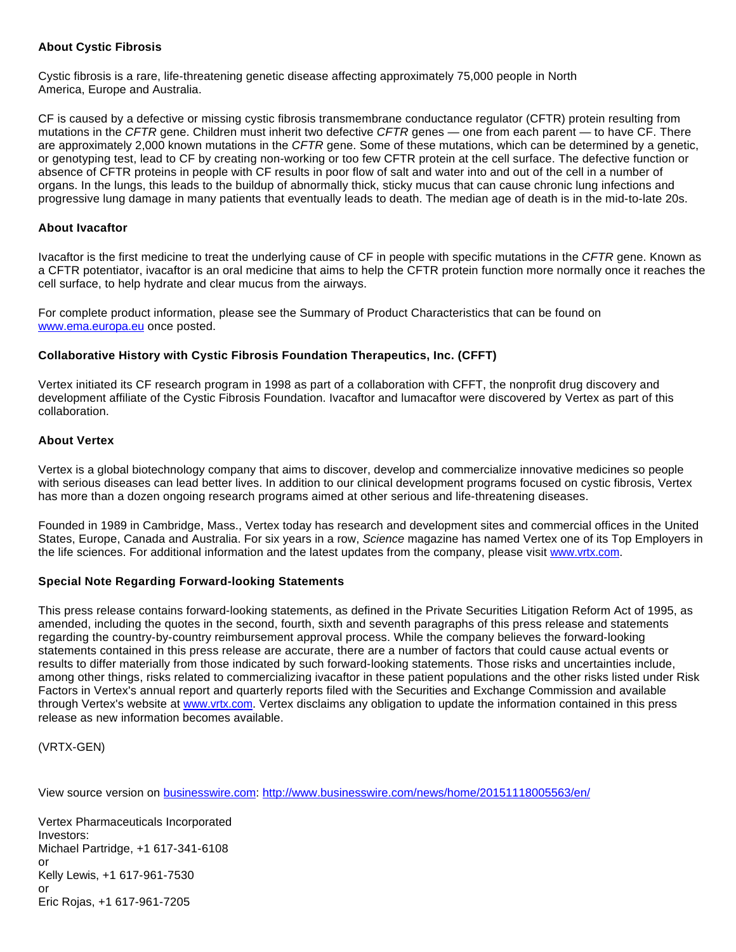#### **About Cystic Fibrosis**

Cystic fibrosis is a rare, life-threatening genetic disease affecting approximately 75,000 people in North America, Europe and Australia.

CF is caused by a defective or missing cystic fibrosis transmembrane conductance regulator (CFTR) protein resulting from mutations in the CFTR gene. Children must inherit two defective CFTR genes — one from each parent — to have CF. There are approximately 2,000 known mutations in the CFTR gene. Some of these mutations, which can be determined by a genetic, or genotyping test, lead to CF by creating non-working or too few CFTR protein at the cell surface. The defective function or absence of CFTR proteins in people with CF results in poor flow of salt and water into and out of the cell in a number of organs. In the lungs, this leads to the buildup of abnormally thick, sticky mucus that can cause chronic lung infections and progressive lung damage in many patients that eventually leads to death. The median age of death is in the mid-to-late 20s.

#### **About Ivacaftor**

Ivacaftor is the first medicine to treat the underlying cause of CF in people with specific mutations in the CFTR gene. Known as a CFTR potentiator, ivacaftor is an oral medicine that aims to help the CFTR protein function more normally once it reaches the cell surface, to help hydrate and clear mucus from the airways.

For complete product information, please see the Summary of Product Characteristics that can be found on [www.ema.europa.eu](http://cts.businesswire.com/ct/CT?id=smartlink&url=http%3A%2F%2Fwww.ema.europa.eu&esheet=51227012&newsitemid=20151118005563&lan=en-US&anchor=www.ema.europa.eu&index=2&md5=c015e39fe299f302d0930cf37b71ae6d) once posted.

## **Collaborative History with Cystic Fibrosis Foundation Therapeutics, Inc. (CFFT)**

Vertex initiated its CF research program in 1998 as part of a collaboration with CFFT, the nonprofit drug discovery and development affiliate of the Cystic Fibrosis Foundation. Ivacaftor and lumacaftor were discovered by Vertex as part of this collaboration.

## **About Vertex**

Vertex is a global biotechnology company that aims to discover, develop and commercialize innovative medicines so people with serious diseases can lead better lives. In addition to our clinical development programs focused on cystic fibrosis, Vertex has more than a dozen ongoing research programs aimed at other serious and life-threatening diseases.

Founded in 1989 in Cambridge, Mass., Vertex today has research and development sites and commercial offices in the United States, Europe, Canada and Australia. For six years in a row, Science magazine has named Vertex one of its Top Employers in the life sciences. For additional information and the latest updates from the company, please visit [www.vrtx.com.](http://cts.businesswire.com/ct/CT?id=smartlink&url=http%3A%2F%2Fwww.vrtx.com&esheet=51227012&newsitemid=20151118005563&lan=en-US&anchor=www.vrtx.com&index=3&md5=6f67d7d27d1565ece214ea008b4ff362)

#### **Special Note Regarding Forward-looking Statements**

This press release contains forward-looking statements, as defined in the Private Securities Litigation Reform Act of 1995, as amended, including the quotes in the second, fourth, sixth and seventh paragraphs of this press release and statements regarding the country-by-country reimbursement approval process. While the company believes the forward-looking statements contained in this press release are accurate, there are a number of factors that could cause actual events or results to differ materially from those indicated by such forward-looking statements. Those risks and uncertainties include, among other things, risks related to commercializing ivacaftor in these patient populations and the other risks listed under Risk Factors in Vertex's annual report and quarterly reports filed with the Securities and Exchange Commission and available through Vertex's website at [www.vrtx.com](http://cts.businesswire.com/ct/CT?id=smartlink&url=http%3A%2F%2Fwww.vrtx.com&esheet=51227012&newsitemid=20151118005563&lan=en-US&anchor=www.vrtx.com&index=4&md5=5c8f639e64731267313ab059dd01e9ab). Vertex disclaims any obligation to update the information contained in this press release as new information becomes available.

(VRTX-GEN)

View source version on [businesswire.com](http://businesswire.com/): <http://www.businesswire.com/news/home/20151118005563/en/>

Vertex Pharmaceuticals Incorporated Investors: Michael Partridge, +1 617-341-6108 or Kelly Lewis, +1 617-961-7530 or Eric Rojas, +1 617-961-7205